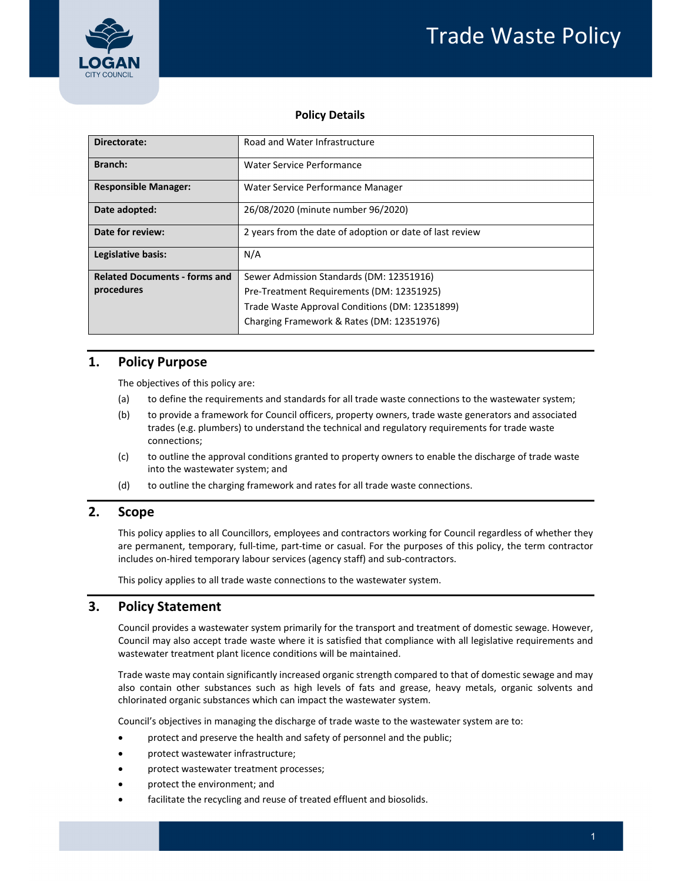

## **Policy Details**

| Directorate:                         | Road and Water Infrastructure                            |  |  |
|--------------------------------------|----------------------------------------------------------|--|--|
| <b>Branch:</b>                       | Water Service Performance                                |  |  |
| <b>Responsible Manager:</b>          | Water Service Performance Manager                        |  |  |
| Date adopted:                        | 26/08/2020 (minute number 96/2020)                       |  |  |
| Date for review:                     | 2 years from the date of adoption or date of last review |  |  |
| Legislative basis:                   | N/A                                                      |  |  |
| <b>Related Documents - forms and</b> | Sewer Admission Standards (DM: 12351916)                 |  |  |
| procedures                           | Pre-Treatment Requirements (DM: 12351925)                |  |  |
|                                      | Trade Waste Approval Conditions (DM: 12351899)           |  |  |
|                                      | Charging Framework & Rates (DM: 12351976)                |  |  |

# **1. Policy Purpose**

The objectives of this policy are:

- (a) to define the requirements and standards for all trade waste connections to the wastewater system;
- (b) to provide a framework for Council officers, property owners, trade waste generators and associated trades (e.g. plumbers) to understand the technical and regulatory requirements for trade waste connections;
- (c) to outline the approval conditions granted to property owners to enable the discharge of trade waste into the wastewater system; and
- (d) to outline the charging framework and rates for all trade waste connections.

### **2. Scope**

 This policy applies to all Councillors, employees and contractors working for Council regardless of whether they are permanent, temporary, full‐time, part‐time or casual. For the purposes of this policy, the term contractor includes on‐hired temporary labour services (agency staff) and sub‐contractors.

This policy applies to all trade waste connections to the wastewater system.

# **3. Policy Statement**

 Council provides a wastewater system primarily for the transport and treatment of domestic sewage. However, Council may also accept trade waste where it is satisfied that compliance with all legislative requirements and wastewater treatment plant licence conditions will be maintained.

 Trade waste may contain significantly increased organic strength compared to that of domestic sewage and may also contain other substances such as high levels of fats and grease, heavy metals, organic solvents and chlorinated organic substances which can impact the wastewater system.

Council's objectives in managing the discharge of trade waste to the wastewater system are to:

- protect and preserve the health and safety of personnel and the public;
- protect wastewater infrastructure;
- protect wastewater treatment processes;
- protect the environment; and
- facilitate the recycling and reuse of treated effluent and biosolids.